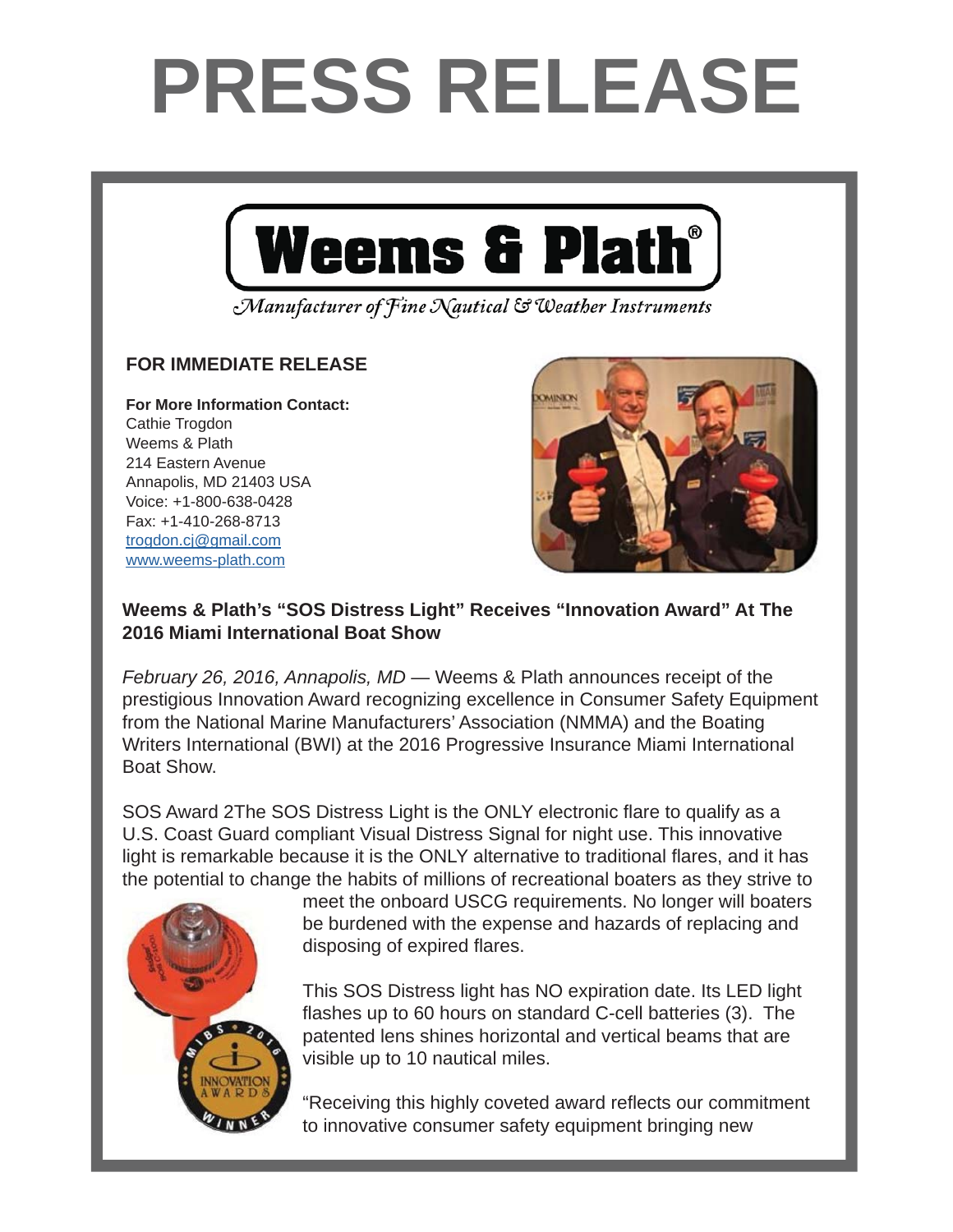## **PRESS RELEASE**



Manufacturer of Fine Nautical & Weather Instruments

## **FOR IMMEDIATE RELEASE FOR IMMEDIATE RELEASE**

**For More Information Contact: For More Information Contact:** Cathie Trogdon Weems & Plath 214 Eastern Avenue Annapolis, MD 21403 USA Voice: +1-800-638-0428 Fax: +1-410-268-8713 <u>trogdon.cj@gmail.com</u> www.weems-plath.com



## Weems & Plath's "SOS Distress Light" Receives "Innovation Award" At The **2016 Miami International Boat Show**

February 26, 2016, Annapolis, MD — Weems & Plath announces receipt of the prestigious Innovation Award recognizing excellence in Consumer Safety Equipment  $\alpha$  Northern produced by  $\alpha$  Northern  $\alpha$  Northern  $\alpha$  Northern  $\alpha$  Northern  $\alpha$  Northern  $\alpha$ from the National Marine Manufacturers' Association (NMMA) and the Boating business Writers International (BWI) at the 2016 Progressive Insurance Miami International Boat Show.

SOS Award 2The SOS Distress Light is the ONLY electronic flare to qualify as a  $\mathbf{P}$  President Peter Trogon, "and we at  $\mathbf{P}$  and  $\mathbf{P}$  are excited to  $\mathbf{P}$  facilitate to  $\mathbf{P}$  facilitate the facilitate the facilitate the facilitate the facilitate the facilitate the facilitate the fac U.S. Coast Guard compliant Visual Distress Signal for night use. This innovative the potential to change the habits of millions of recreational boaters as they strive to light is remarkable because it is the ONLY alternative to traditional flares, and it has

Andy Schell. "Peter is an early adapter and caught onto to the podcast technology very



meet the onboard USCG requirements. No longer will boaters be burdened with the expense and hazards of replacing and  $\frac{1}{2}$  of overing flame disposing of expired flares.

This SOS Distress light has NO expiration date. Its LED light flashes up to 60 hours on standard C-cell batteries (3). The patented lens shines horizontal and vertical beams that are  $\frac{1}{3}$  to 10 pautical miles visible up to 10 nautical miles.

publishes weekly on Tuesdays and is free to listeners, who subscribe online or through the original or through "Receiving this highly coveted award reflects our commitment to innovative consumer safety equipment bringing new